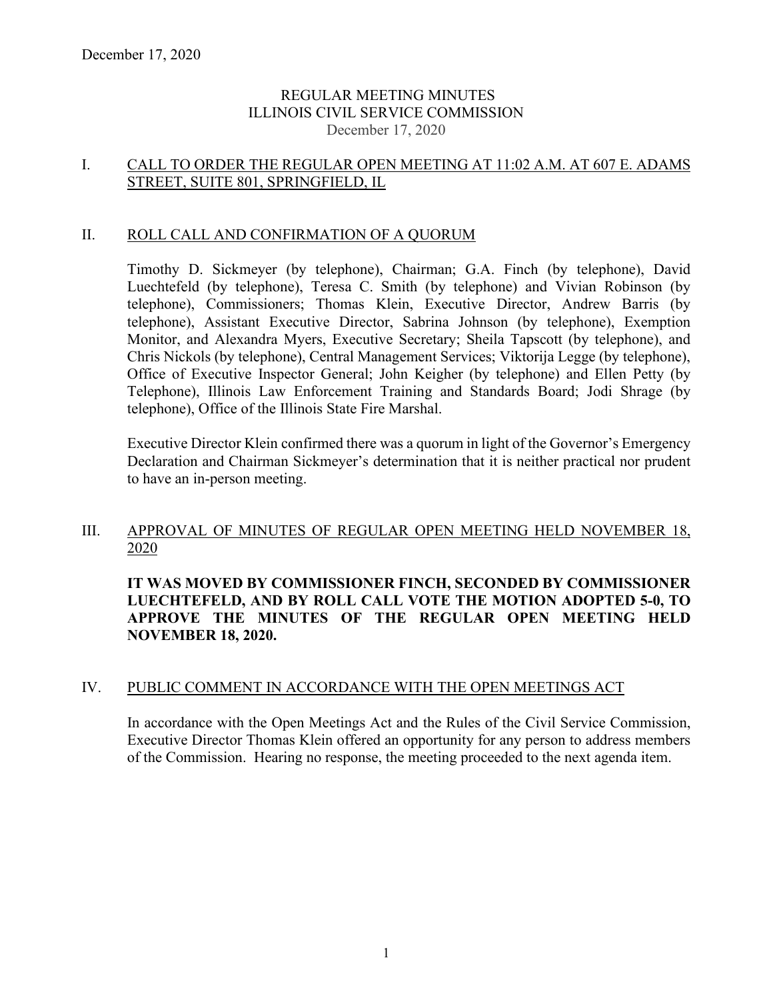## REGULAR MEETING MINUTES ILLINOIS CIVIL SERVICE COMMISSION December 17, 2020

## I. CALL TO ORDER THE REGULAR OPEN MEETING AT 11:02 A.M. AT 607 E. ADAMS STREET, SUITE 801, SPRINGFIELD, IL

## II. ROLL CALL AND CONFIRMATION OF A QUORUM

Timothy D. Sickmeyer (by telephone), Chairman; G.A. Finch (by telephone), David Luechtefeld (by telephone), Teresa C. Smith (by telephone) and Vivian Robinson (by telephone), Commissioners; Thomas Klein, Executive Director, Andrew Barris (by telephone), Assistant Executive Director, Sabrina Johnson (by telephone), Exemption Monitor, and Alexandra Myers, Executive Secretary; Sheila Tapscott (by telephone), and Chris Nickols (by telephone), Central Management Services; Viktorija Legge (by telephone), Office of Executive Inspector General; John Keigher (by telephone) and Ellen Petty (by Telephone), Illinois Law Enforcement Training and Standards Board; Jodi Shrage (by telephone), Office of the Illinois State Fire Marshal.

Executive Director Klein confirmed there was a quorum in light of the Governor's Emergency Declaration and Chairman Sickmeyer's determination that it is neither practical nor prudent to have an in-person meeting.

# III. APPROVAL OF MINUTES OF REGULAR OPEN MEETING HELD NOVEMBER 18, 2020

**IT WAS MOVED BY COMMISSIONER FINCH, SECONDED BY COMMISSIONER LUECHTEFELD, AND BY ROLL CALL VOTE THE MOTION ADOPTED 5-0, TO APPROVE THE MINUTES OF THE REGULAR OPEN MEETING HELD NOVEMBER 18, 2020.**

### IV. PUBLIC COMMENT IN ACCORDANCE WITH THE OPEN MEETINGS ACT

In accordance with the Open Meetings Act and the Rules of the Civil Service Commission, Executive Director Thomas Klein offered an opportunity for any person to address members of the Commission. Hearing no response, the meeting proceeded to the next agenda item.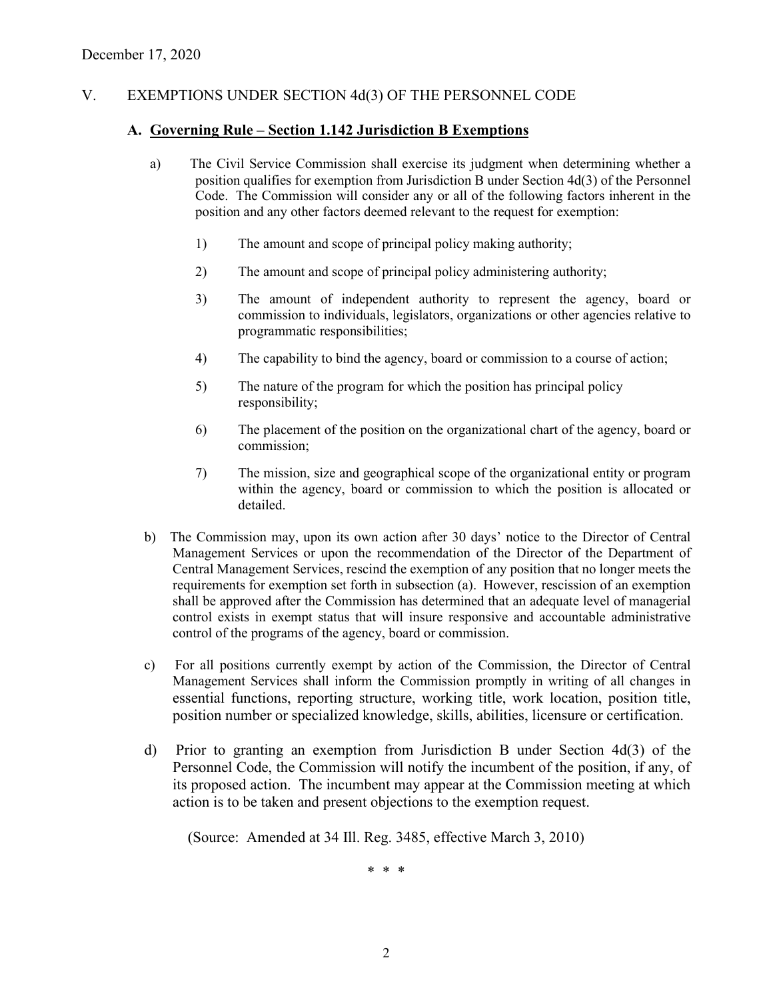# V. EXEMPTIONS UNDER SECTION 4d(3) OF THE PERSONNEL CODE

#### **A. Governing Rule – Section 1.142 Jurisdiction B Exemptions**

- a) The Civil Service Commission shall exercise its judgment when determining whether a position qualifies for exemption from Jurisdiction B under Section 4d(3) of the Personnel Code. The Commission will consider any or all of the following factors inherent in the position and any other factors deemed relevant to the request for exemption:
	- 1) The amount and scope of principal policy making authority;
	- 2) The amount and scope of principal policy administering authority;
	- 3) The amount of independent authority to represent the agency, board or commission to individuals, legislators, organizations or other agencies relative to programmatic responsibilities;
	- 4) The capability to bind the agency, board or commission to a course of action;
	- 5) The nature of the program for which the position has principal policy responsibility;
	- 6) The placement of the position on the organizational chart of the agency, board or commission;
	- 7) The mission, size and geographical scope of the organizational entity or program within the agency, board or commission to which the position is allocated or detailed.
- b) The Commission may, upon its own action after 30 days' notice to the Director of Central Management Services or upon the recommendation of the Director of the Department of Central Management Services, rescind the exemption of any position that no longer meets the requirements for exemption set forth in subsection (a). However, rescission of an exemption shall be approved after the Commission has determined that an adequate level of managerial control exists in exempt status that will insure responsive and accountable administrative control of the programs of the agency, board or commission.
- c) For all positions currently exempt by action of the Commission, the Director of Central Management Services shall inform the Commission promptly in writing of all changes in essential functions, reporting structure, working title, work location, position title, position number or specialized knowledge, skills, abilities, licensure or certification.
- d) Prior to granting an exemption from Jurisdiction B under Section 4d(3) of the Personnel Code, the Commission will notify the incumbent of the position, if any, of its proposed action. The incumbent may appear at the Commission meeting at which action is to be taken and present objections to the exemption request.

(Source: Amended at 34 Ill. Reg. 3485, effective March 3, 2010)

\* \* \*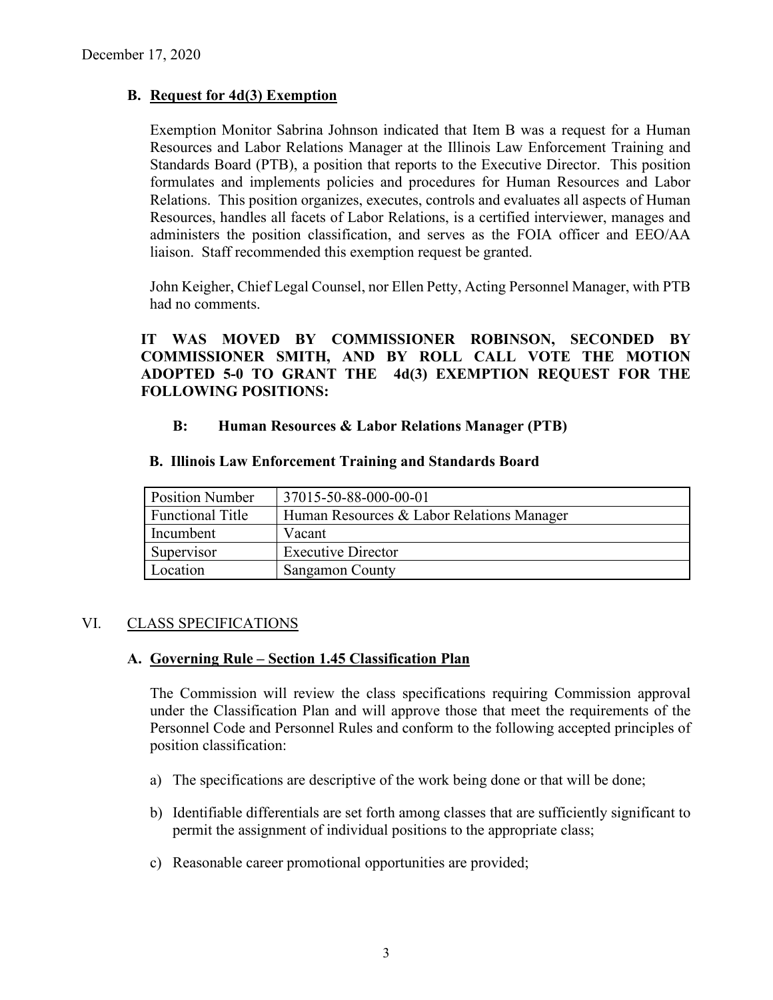# **B. Request for 4d(3) Exemption**

Exemption Monitor Sabrina Johnson indicated that Item B was a request for a Human Resources and Labor Relations Manager at the Illinois Law Enforcement Training and Standards Board (PTB), a position that reports to the Executive Director. This position formulates and implements policies and procedures for Human Resources and Labor Relations. This position organizes, executes, controls and evaluates all aspects of Human Resources, handles all facets of Labor Relations, is a certified interviewer, manages and administers the position classification, and serves as the FOIA officer and EEO/AA liaison. Staff recommended this exemption request be granted.

John Keigher, Chief Legal Counsel, nor Ellen Petty, Acting Personnel Manager, with PTB had no comments.

**IT WAS MOVED BY COMMISSIONER ROBINSON, SECONDED BY COMMISSIONER SMITH, AND BY ROLL CALL VOTE THE MOTION ADOPTED 5-0 TO GRANT THE 4d(3) EXEMPTION REQUEST FOR THE FOLLOWING POSITIONS:**

## **B: Human Resources & Labor Relations Manager (PTB)**

| <b>B. Illinois Law Enforcement Training and Standards Board</b> |  |
|-----------------------------------------------------------------|--|
|-----------------------------------------------------------------|--|

| <b>Position Number</b>  | 37015-50-88-000-00-01                     |
|-------------------------|-------------------------------------------|
| <b>Functional Title</b> | Human Resources & Labor Relations Manager |
| Incumbent               | Vacant                                    |
| Supervisor              | <b>Executive Director</b>                 |
| Location                | <b>Sangamon County</b>                    |

# VI. CLASS SPECIFICATIONS

### **A. Governing Rule – Section 1.45 Classification Plan**

The Commission will review the class specifications requiring Commission approval under the Classification Plan and will approve those that meet the requirements of the Personnel Code and Personnel Rules and conform to the following accepted principles of position classification:

- a) The specifications are descriptive of the work being done or that will be done;
- b) Identifiable differentials are set forth among classes that are sufficiently significant to permit the assignment of individual positions to the appropriate class;
- c) Reasonable career promotional opportunities are provided;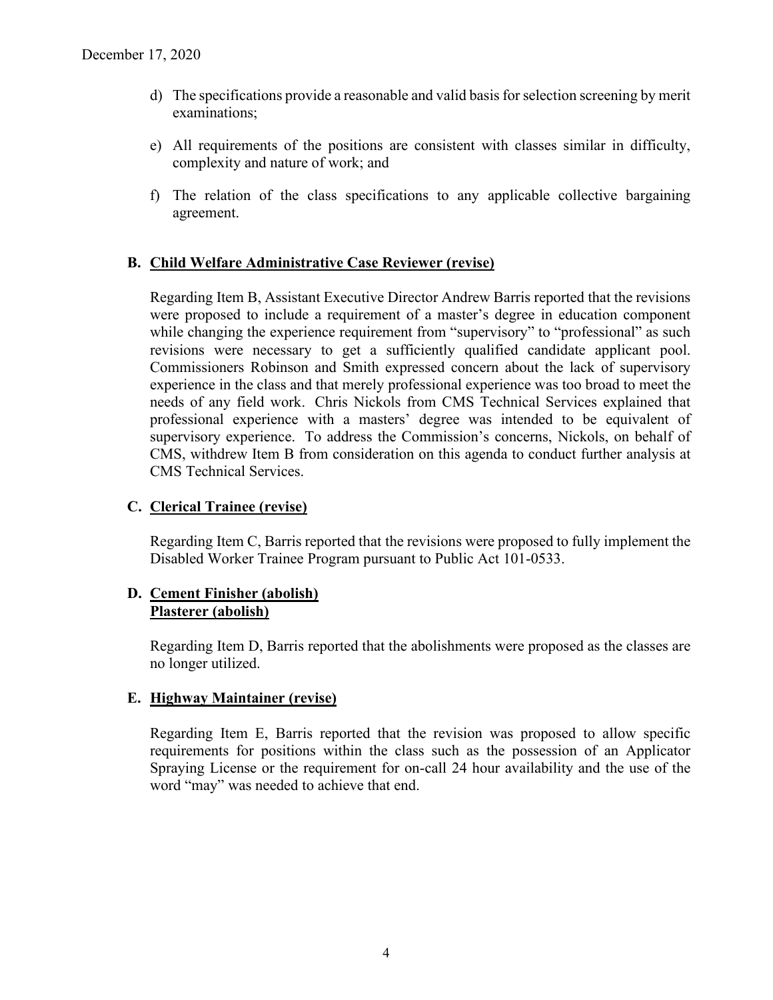- d) The specifications provide a reasonable and valid basis for selection screening by merit examinations;
- e) All requirements of the positions are consistent with classes similar in difficulty, complexity and nature of work; and
- f) The relation of the class specifications to any applicable collective bargaining agreement.

## **B. Child Welfare Administrative Case Reviewer (revise)**

Regarding Item B, Assistant Executive Director Andrew Barris reported that the revisions were proposed to include a requirement of a master's degree in education component while changing the experience requirement from "supervisory" to "professional" as such revisions were necessary to get a sufficiently qualified candidate applicant pool. Commissioners Robinson and Smith expressed concern about the lack of supervisory experience in the class and that merely professional experience was too broad to meet the needs of any field work. Chris Nickols from CMS Technical Services explained that professional experience with a masters' degree was intended to be equivalent of supervisory experience. To address the Commission's concerns, Nickols, on behalf of CMS, withdrew Item B from consideration on this agenda to conduct further analysis at CMS Technical Services.

### **C. Clerical Trainee (revise)**

Regarding Item C, Barris reported that the revisions were proposed to fully implement the Disabled Worker Trainee Program pursuant to Public Act 101-0533.

## **D. Cement Finisher (abolish) Plasterer (abolish)**

Regarding Item D, Barris reported that the abolishments were proposed as the classes are no longer utilized.

# **E. Highway Maintainer (revise)**

Regarding Item E, Barris reported that the revision was proposed to allow specific requirements for positions within the class such as the possession of an Applicator Spraying License or the requirement for on-call 24 hour availability and the use of the word "may" was needed to achieve that end.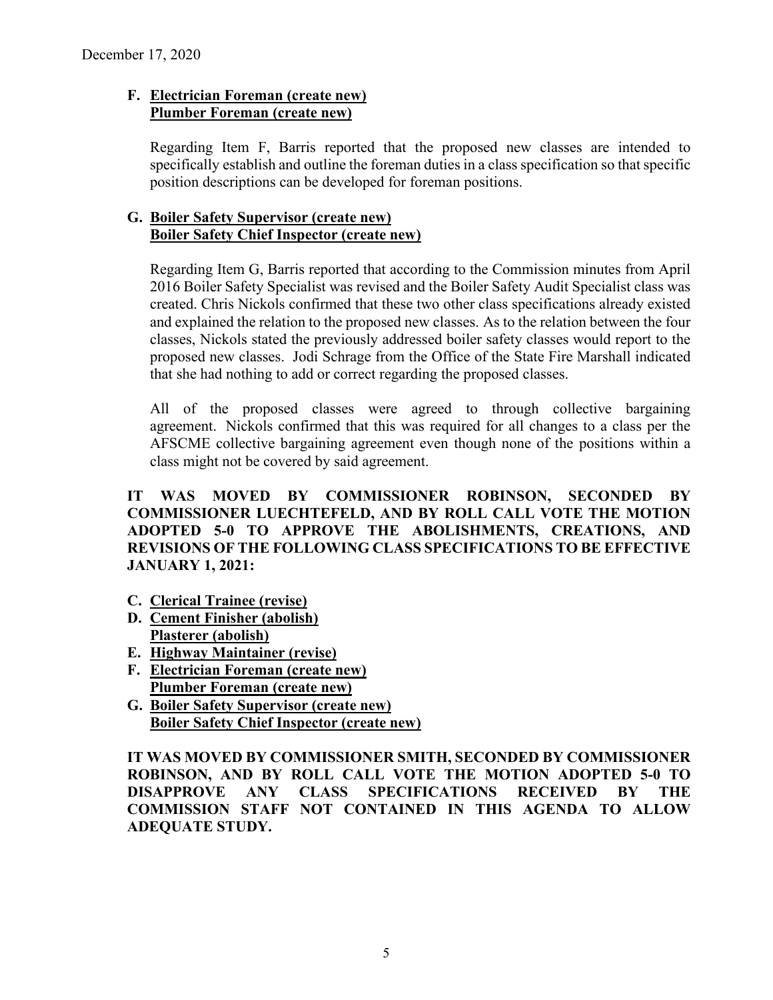# **F. Electrician Foreman (create new) Plumber Foreman (create new)**

Regarding Item F, Barris reported that the proposed new classes are intended to specifically establish and outline the foreman duties in a class specification so that specific position descriptions can be developed for foreman positions.

# **G. Boiler Safety Supervisor (create new) Boiler Safety Chief Inspector (create new)**

Regarding Item G, Barris reported that according to the Commission minutes from April 2016 Boiler Safety Specialist was revised and the Boiler Safety Audit Specialist class was created. Chris Nickols confirmed that these two other class specifications already existed and explained the relation to the proposed new classes. As to the relation between the four classes, Nickols stated the previously addressed boiler safety classes would report to the proposed new classes. Jodi Schrage from the Office of the State Fire Marshall indicated that she had nothing to add or correct regarding the proposed classes.

All of the proposed classes were agreed to through collective bargaining agreement. Nickols confirmed that this was required for all changes to a class per the AFSCME collective bargaining agreement even though none of the positions within a class might not be covered by said agreement.

**IT WAS MOVED BY COMMISSIONER ROBINSON, SECONDED BY COMMISSIONER LUECHTEFELD, AND BY ROLL CALL VOTE THE MOTION ADOPTED 5-0 TO APPROVE THE ABOLISHMENTS, CREATIONS, AND REVISIONS OF THE FOLLOWING CLASS SPECIFICATIONS TO BE EFFECTIVE JANUARY 1, 2021:**

- **C. Clerical Trainee (revise)**
- **D. Cement Finisher (abolish) Plasterer (abolish)**
- **E. Highway Maintainer (revise)**
- **F. Electrician Foreman (create new) Plumber Foreman (create new)**
- **G. Boiler Safety Supervisor (create new) Boiler Safety Chief Inspector (create new)**

**IT WAS MOVED BY COMMISSIONER SMITH, SECONDED BY COMMISSIONER ROBINSON, AND BY ROLL CALL VOTE THE MOTION ADOPTED 5-0 TO DISAPPROVE ANY CLASS SPECIFICATIONS RECEIVED BY THE COMMISSION STAFF NOT CONTAINED IN THIS AGENDA TO ALLOW ADEQUATE STUDY.**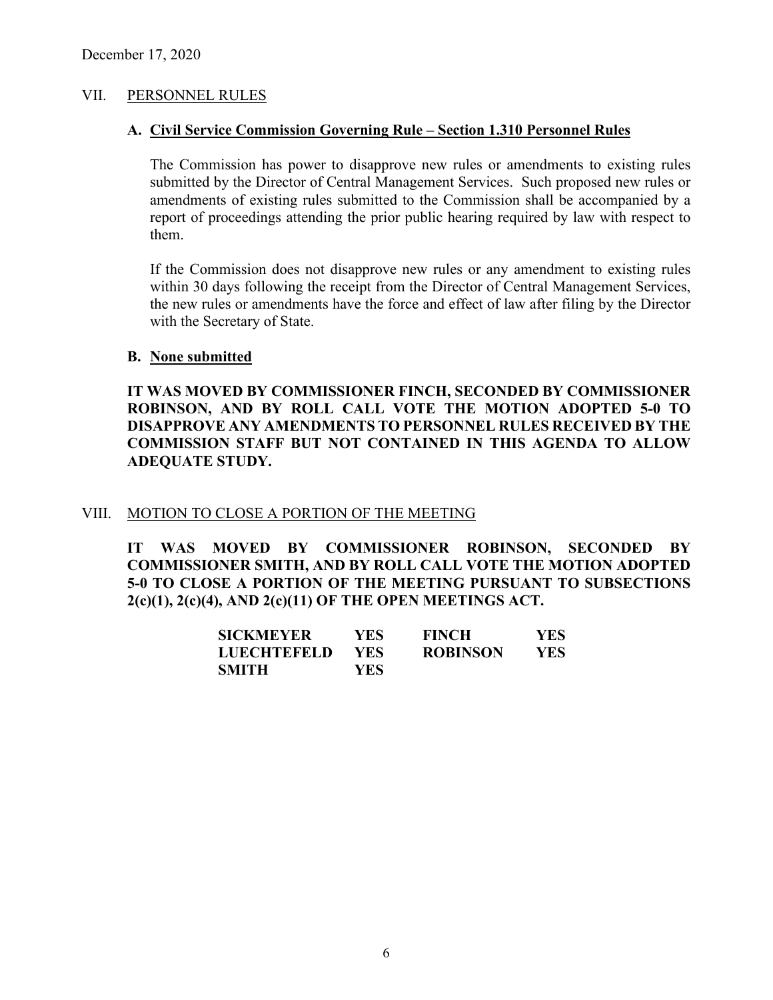### VII. PERSONNEL RULES

### **A. Civil Service Commission Governing Rule – Section 1.310 Personnel Rules**

The Commission has power to disapprove new rules or amendments to existing rules submitted by the Director of Central Management Services. Such proposed new rules or amendments of existing rules submitted to the Commission shall be accompanied by a report of proceedings attending the prior public hearing required by law with respect to them.

If the Commission does not disapprove new rules or any amendment to existing rules within 30 days following the receipt from the Director of Central Management Services, the new rules or amendments have the force and effect of law after filing by the Director with the Secretary of State.

### **B. None submitted**

**IT WAS MOVED BY COMMISSIONER FINCH, SECONDED BY COMMISSIONER ROBINSON, AND BY ROLL CALL VOTE THE MOTION ADOPTED 5-0 TO DISAPPROVE ANY AMENDMENTS TO PERSONNEL RULES RECEIVED BY THE COMMISSION STAFF BUT NOT CONTAINED IN THIS AGENDA TO ALLOW ADEQUATE STUDY.** 

### VIII. MOTION TO CLOSE A PORTION OF THE MEETING

**IT WAS MOVED BY COMMISSIONER ROBINSON, SECONDED BY COMMISSIONER SMITH, AND BY ROLL CALL VOTE THE MOTION ADOPTED 5-0 TO CLOSE A PORTION OF THE MEETING PURSUANT TO SUBSECTIONS 2(c)(1), 2(c)(4), AND 2(c)(11) OF THE OPEN MEETINGS ACT.**

| SICKMEYER          | YES. | <b>FINCH</b>    | <b>YES</b> |
|--------------------|------|-----------------|------------|
| <b>LUECHTEFELD</b> | YES. | <b>ROBINSON</b> | <b>YES</b> |
| SMITH              | YES  |                 |            |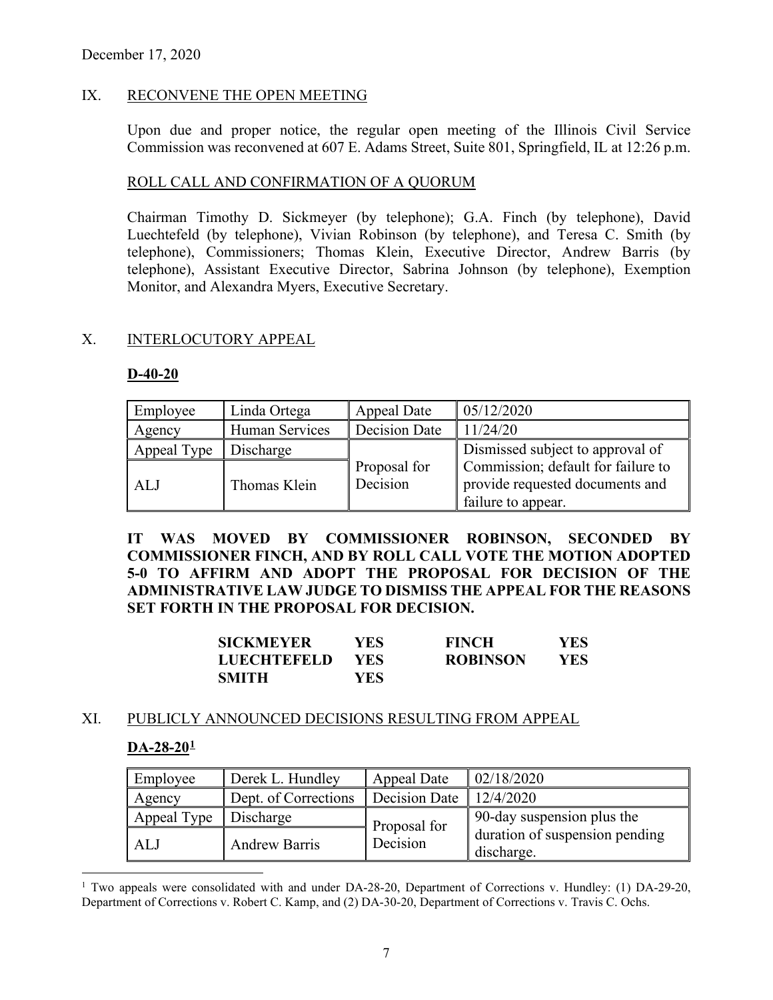# IX. RECONVENE THE OPEN MEETING

Upon due and proper notice, the regular open meeting of the Illinois Civil Service Commission was reconvened at 607 E. Adams Street, Suite 801, Springfield, IL at 12:26 p.m.

### ROLL CALL AND CONFIRMATION OF A QUORUM

Chairman Timothy D. Sickmeyer (by telephone); G.A. Finch (by telephone), David Luechtefeld (by telephone), Vivian Robinson (by telephone), and Teresa C. Smith (by telephone), Commissioners; Thomas Klein, Executive Director, Andrew Barris (by telephone), Assistant Executive Director, Sabrina Johnson (by telephone), Exemption Monitor, and Alexandra Myers, Executive Secretary.

## X. INTERLOCUTORY APPEAL

### **D-40-20**

| Employee    | Linda Ortega          | Appeal Date              | 05/12/2020                                                                                  |
|-------------|-----------------------|--------------------------|---------------------------------------------------------------------------------------------|
| Agency      | <b>Human Services</b> | Decision Date            | 11/24/20                                                                                    |
| Appeal Type | Discharge             |                          | Dismissed subject to approval of                                                            |
| AL J        | Thomas Klein          | Proposal for<br>Decision | Commission; default for failure to<br>provide requested documents and<br>failure to appear. |

**IT WAS MOVED BY COMMISSIONER ROBINSON, SECONDED BY COMMISSIONER FINCH, AND BY ROLL CALL VOTE THE MOTION ADOPTED 5-0 TO AFFIRM AND ADOPT THE PROPOSAL FOR DECISION OF THE ADMINISTRATIVE LAW JUDGE TO DISMISS THE APPEAL FOR THE REASONS SET FORTH IN THE PROPOSAL FOR DECISION.**

| <b>SICKMEYER</b>   | YES. | <b>FINCH</b>    | YES. |
|--------------------|------|-----------------|------|
| <b>LUECHTEFELD</b> | YES. | <b>ROBINSON</b> | YES. |
| <b>SMITH</b>       | YES. |                 |      |

### XI. PUBLICLY ANNOUNCED DECISIONS RESULTING FROM APPEAL

### **DA-28-20[1](#page-6-0)**

| Employee    | Derek L. Hundley     | Appeal Date   | 02/18/2020                                   |
|-------------|----------------------|---------------|----------------------------------------------|
| Agency      | Dept. of Corrections | Decision Date | 12/4/2020                                    |
| Appeal Type | Discharge            | Proposal for  | 90-day suspension plus the                   |
| ALJ         | <b>Andrew Barris</b> | Decision      | duration of suspension pending<br>discharge. |

<span id="page-6-0"></span><sup>&</sup>lt;sup>1</sup> Two appeals were consolidated with and under DA-28-20, Department of Corrections v. Hundley: (1) DA-29-20, Department of Corrections v. Robert C. Kamp, and (2) DA-30-20, Department of Corrections v. Travis C. Ochs.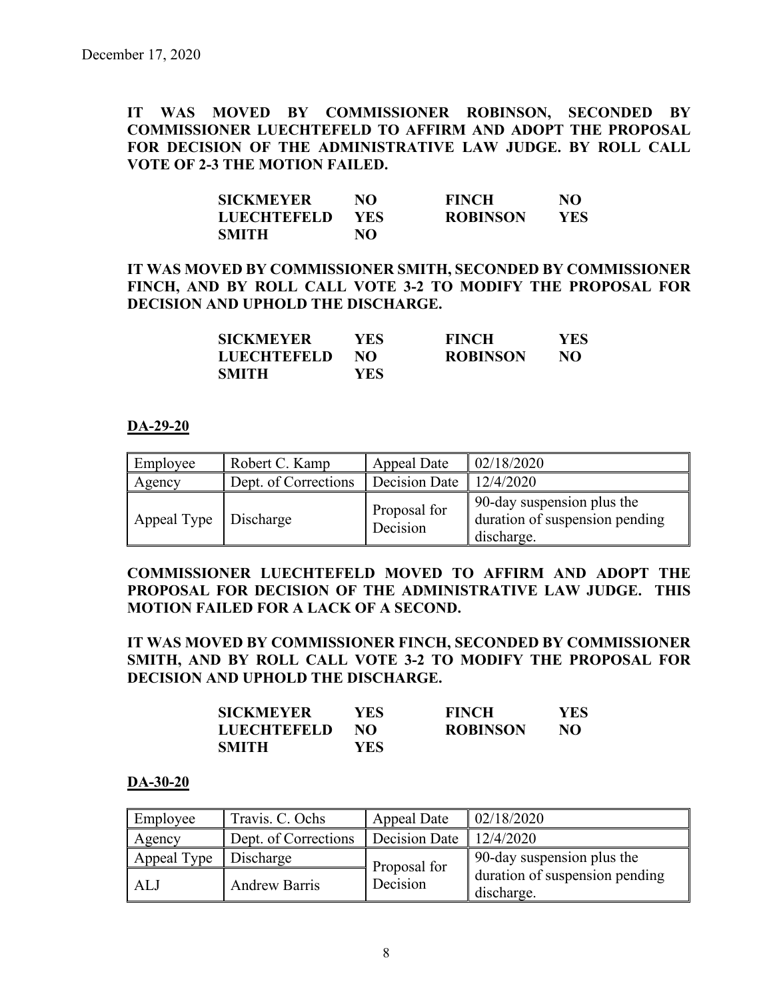**IT WAS MOVED BY COMMISSIONER ROBINSON, SECONDED BY COMMISSIONER LUECHTEFELD TO AFFIRM AND ADOPT THE PROPOSAL FOR DECISION OF THE ADMINISTRATIVE LAW JUDGE. BY ROLL CALL VOTE OF 2-3 THE MOTION FAILED.**

| <b>SICKMEYER</b>   | NO         | <b>FINCH</b>    | NO  |
|--------------------|------------|-----------------|-----|
| <b>LUECHTEFELD</b> | <b>YES</b> | <b>ROBINSON</b> | YES |
| <b>SMITH</b>       | NΟ         |                 |     |

# **IT WAS MOVED BY COMMISSIONER SMITH, SECONDED BY COMMISSIONER FINCH, AND BY ROLL CALL VOTE 3-2 TO MODIFY THE PROPOSAL FOR DECISION AND UPHOLD THE DISCHARGE.**

| SICKMEYER   | YES  | <b>FINCH</b>    | YES. |
|-------------|------|-----------------|------|
| LUECHTEFELD | NO.  | <b>ROBINSON</b> | NO   |
| SMITH       | YES. |                 |      |

## **DA-29-20**

| Employee                | Robert C. Kamp       | Appeal Date              | 02/18/2020                                                                 |
|-------------------------|----------------------|--------------------------|----------------------------------------------------------------------------|
| Agency                  | Dept. of Corrections | Decision Date            | 12/4/2020                                                                  |
| Appeal Type   Discharge |                      | Proposal for<br>Decision | 90-day suspension plus the<br>duration of suspension pending<br>discharge. |

# **COMMISSIONER LUECHTEFELD MOVED TO AFFIRM AND ADOPT THE PROPOSAL FOR DECISION OF THE ADMINISTRATIVE LAW JUDGE. THIS MOTION FAILED FOR A LACK OF A SECOND.**

# **IT WAS MOVED BY COMMISSIONER FINCH, SECONDED BY COMMISSIONER SMITH, AND BY ROLL CALL VOTE 3-2 TO MODIFY THE PROPOSAL FOR DECISION AND UPHOLD THE DISCHARGE.**

| SICKMEYER   | YES. | <b>FINCH</b>    | YES |
|-------------|------|-----------------|-----|
| LUECHTEFELD | NO.  | <b>ROBINSON</b> | NO  |
| SMITH       | YES. |                 |     |

### **DA-30-20**

| Employee    | Travis. C. Ochs      | Appeal Date   | 02/18/2020                                   |
|-------------|----------------------|---------------|----------------------------------------------|
| Agency      | Dept. of Corrections | Decision Date | 12/4/2020                                    |
| Appeal Type | Discharge            | Proposal for  | 90-day suspension plus the                   |
| ALJ         | <b>Andrew Barris</b> | Decision      | duration of suspension pending<br>discharge. |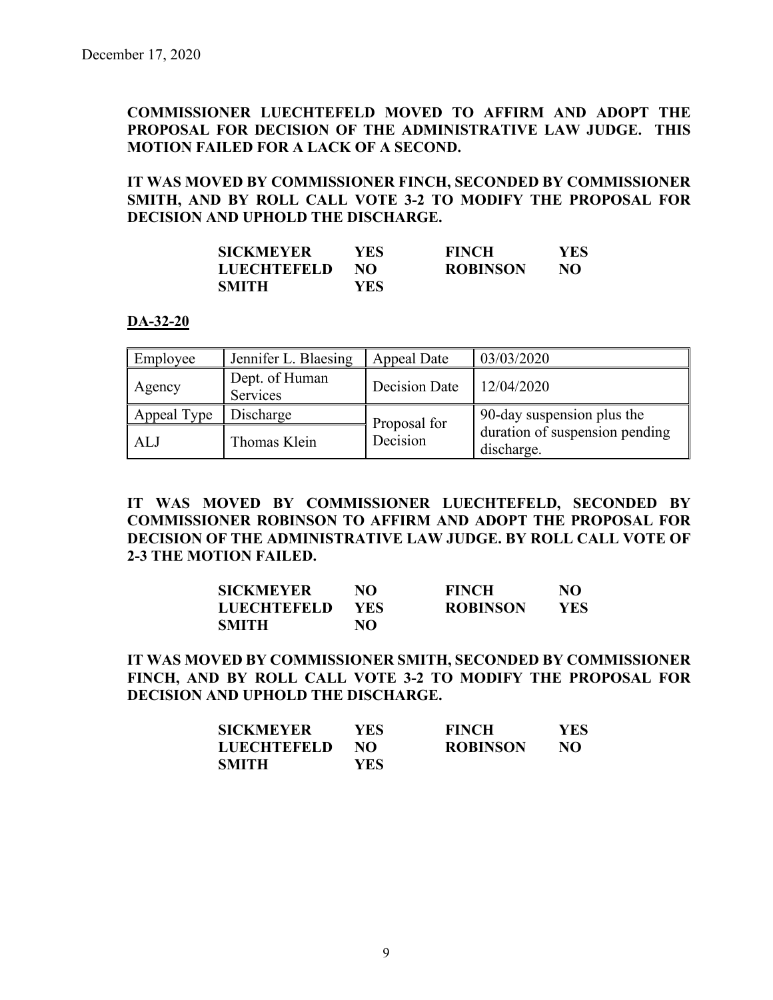# **COMMISSIONER LUECHTEFELD MOVED TO AFFIRM AND ADOPT THE PROPOSAL FOR DECISION OF THE ADMINISTRATIVE LAW JUDGE. THIS MOTION FAILED FOR A LACK OF A SECOND.**

# **IT WAS MOVED BY COMMISSIONER FINCH, SECONDED BY COMMISSIONER SMITH, AND BY ROLL CALL VOTE 3-2 TO MODIFY THE PROPOSAL FOR DECISION AND UPHOLD THE DISCHARGE.**

| <b>SICKMEYER</b>   | YES  | <b>FINCH</b>    | YES. |
|--------------------|------|-----------------|------|
| <b>LUECHTEFELD</b> | NO.  | <b>ROBINSON</b> | NO   |
| <b>SMITH</b>       | YES. |                 |      |

#### **DA-32-20**

| Employee    | Jennifer L. Blaesing       | Appeal Date   | 03/03/2020                                   |
|-------------|----------------------------|---------------|----------------------------------------------|
| Agency      | Dept. of Human<br>Services | Decision Date | 12/04/2020                                   |
| Appeal Type | Discharge                  | Proposal for  | 90-day suspension plus the                   |
| ALJ         | Thomas Klein               | Decision      | duration of suspension pending<br>discharge. |

**IT WAS MOVED BY COMMISSIONER LUECHTEFELD, SECONDED BY COMMISSIONER ROBINSON TO AFFIRM AND ADOPT THE PROPOSAL FOR DECISION OF THE ADMINISTRATIVE LAW JUDGE. BY ROLL CALL VOTE OF 2-3 THE MOTION FAILED.**

| <b>SICKMEYER</b>   | NO.  | <b>FINCH</b>    | NO   |
|--------------------|------|-----------------|------|
| <b>LUECHTEFELD</b> | YES. | <b>ROBINSON</b> | YES. |
| <b>SMITH</b>       | NO   |                 |      |

**IT WAS MOVED BY COMMISSIONER SMITH, SECONDED BY COMMISSIONER FINCH, AND BY ROLL CALL VOTE 3-2 TO MODIFY THE PROPOSAL FOR DECISION AND UPHOLD THE DISCHARGE.** 

| <b>SICKMEYER</b>   | YES- | <b>FINCH</b>    | <b>YES</b> |
|--------------------|------|-----------------|------------|
| <b>LUECHTEFELD</b> | NO.  | <b>ROBINSON</b> | NO.        |
| SMITH              | YES- |                 |            |